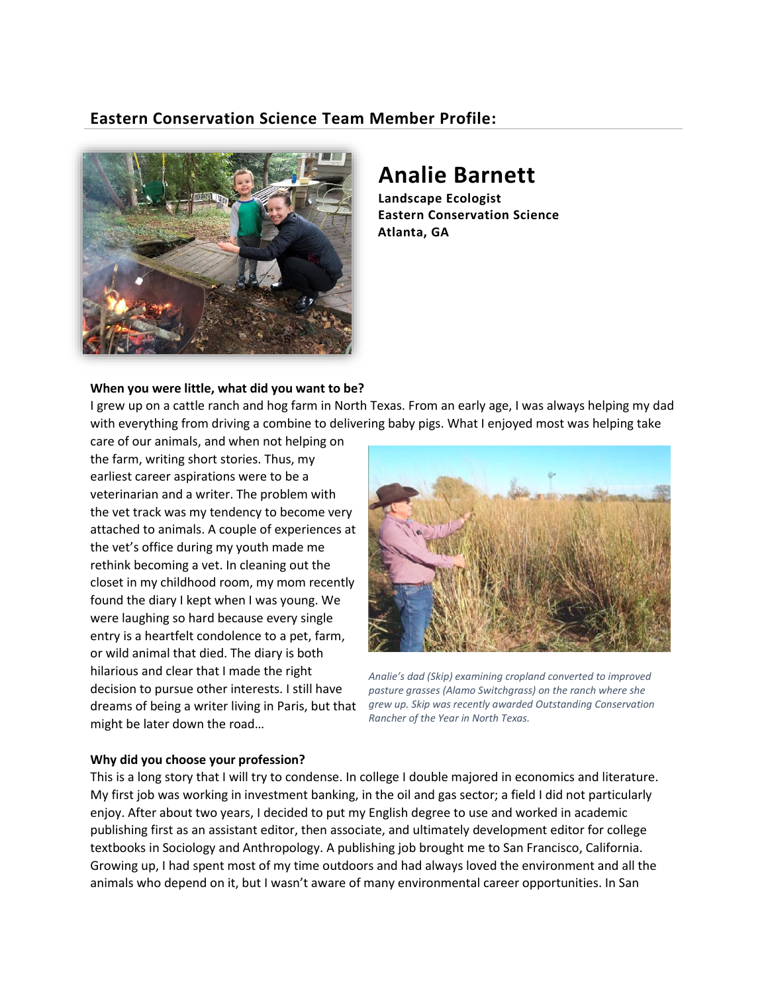## **Eastern Conservation Science Team Member Profile:**



# **Analie Barnett**

**Landscape Ecologist Eastern Conservation Science Atlanta, GA**

## **When you were little, what did you want to be?**

I grew up on a cattle ranch and hog farm in North Texas. From an early age, I was always helping my dad with everything from driving a combine to delivering baby pigs. What I enjoyed most was helping take

care of our animals, and when not helping on the farm, writing short stories. Thus, my earliest career aspirations were to be a veterinarian and a writer. The problem with the vet track was my tendency to become very attached to animals. A couple of experiences at the vet's office during my youth made me rethink becoming a vet. In cleaning out the closet in my childhood room, my mom recently found the diary I kept when I was young. We were laughing so hard because every single entry is a heartfelt condolence to a pet, farm, or wild animal that died. The diary is both hilarious and clear that I made the right decision to pursue other interests. I still have might be later down the road…



dreams of being a writer living in Paris, but that *grew up. Skip was recently awarded Outstanding Conservation Analie's dad (Skip) examining cropland converted to improved pasture grasses (Alamo Switchgrass) on the ranch where she Rancher of the Year in North Texas.*

## **Why did you choose your profession?**

This is a long story that I will try to condense. In college I double majored in economics and literature. My first job was working in investment banking, in the oil and gas sector; a field I did not particularly enjoy. After about two years, I decided to put my English degree to use and worked in academic publishing first as an assistant editor, then associate, and ultimately development editor for college textbooks in Sociology and Anthropology. A publishing job brought me to San Francisco, California. Growing up, I had spent most of my time outdoors and had always loved the environment and all the animals who depend on it, but I wasn't aware of many environmental career opportunities. In San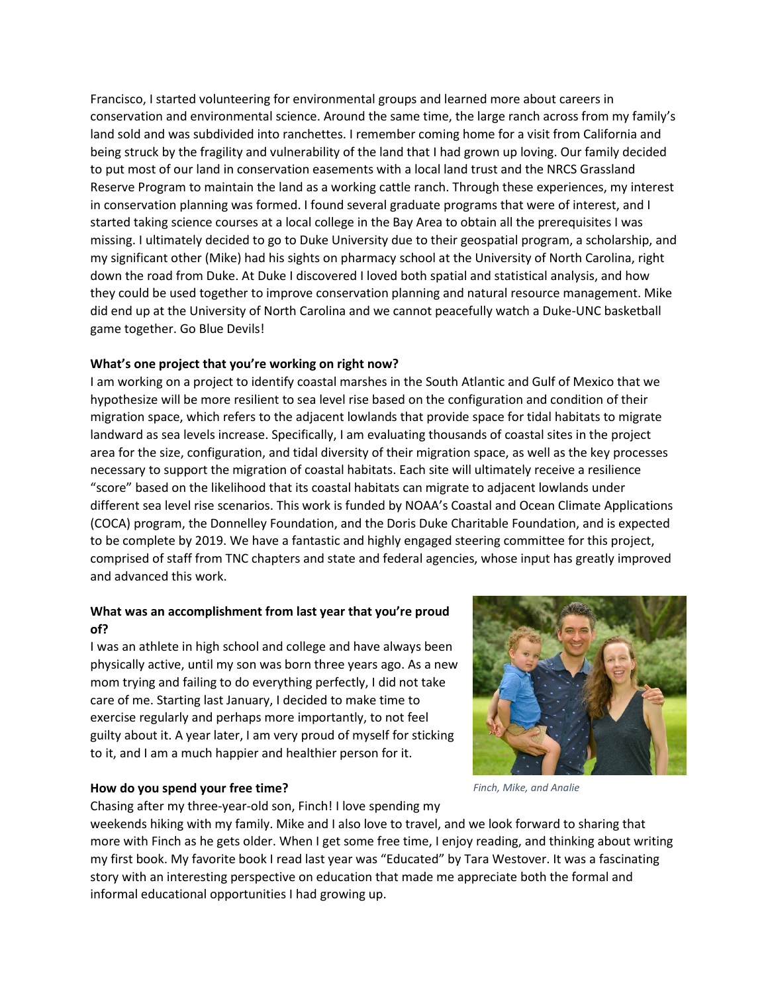Francisco, I started volunteering for environmental groups and learned more about careers in conservation and environmental science. Around the same time, the large ranch across from my family's land sold and was subdivided into ranchettes. I remember coming home for a visit from California and being struck by the fragility and vulnerability of the land that I had grown up loving. Our family decided to put most of our land in conservation easements with a local land trust and the NRCS Grassland Reserve Program to maintain the land as a working cattle ranch. Through these experiences, my interest in conservation planning was formed. I found several graduate programs that were of interest, and I started taking science courses at a local college in the Bay Area to obtain all the prerequisites I was missing. I ultimately decided to go to Duke University due to their geospatial program, a scholarship, and my significant other (Mike) had his sights on pharmacy school at the University of North Carolina, right down the road from Duke. At Duke I discovered I loved both spatial and statistical analysis, and how they could be used together to improve conservation planning and natural resource management. Mike did end up at the University of North Carolina and we cannot peacefully watch a Duke-UNC basketball game together. Go Blue Devils!

## **What's one project that you're working on right now?**

I am working on a project to identify coastal marshes in the South Atlantic and Gulf of Mexico that we hypothesize will be more resilient to sea level rise based on the configuration and condition of their migration space, which refers to the adjacent lowlands that provide space for tidal habitats to migrate landward as sea levels increase. Specifically, I am evaluating thousands of coastal sites in the project area for the size, configuration, and tidal diversity of their migration space, as well as the key processes necessary to support the migration of coastal habitats. Each site will ultimately receive a resilience "score" based on the likelihood that its coastal habitats can migrate to adjacent lowlands under different sea level rise scenarios. This work is funded by NOAA's Coastal and Ocean Climate Applications (COCA) program, the Donnelley Foundation, and the Doris Duke Charitable Foundation, and is expected to be complete by 2019. We have a fantastic and highly engaged steering committee for this project, comprised of staff from TNC chapters and state and federal agencies, whose input has greatly improved and advanced this work.

## **What was an accomplishment from last year that you're proud of?**

I was an athlete in high school and college and have always been physically active, until my son was born three years ago. As a new mom trying and failing to do everything perfectly, I did not take care of me. Starting last January, I decided to make time to exercise regularly and perhaps more importantly, to not feel guilty about it. A year later, I am very proud of myself for sticking to it, and I am a much happier and healthier person for it.

## **How do you spend your free time?**

Chasing after my three-year-old son, Finch! I love spending my

weekends hiking with my family. Mike and I also love to travel, and we look forward to sharing that more with Finch as he gets older. When I get some free time, I enjoy reading, and thinking about writing my first book. My favorite book I read last year was "Educated" by Tara Westover. It was a fascinating story with an interesting perspective on education that made me appreciate both the formal and informal educational opportunities I had growing up.

*Finch, Mike, and Analie*